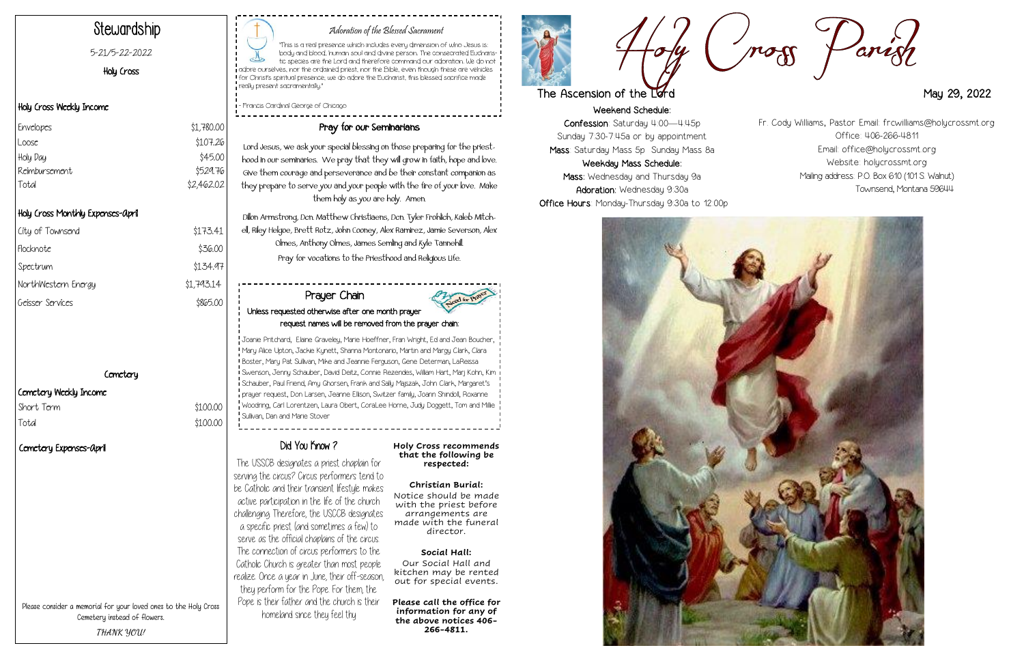Weekend Schedule: Confession: Saturday 4:00—4:45p Sunday 7:30-7:45a or by appointment Mass: Saturday Mass 5p Sunday Mass 8a Weekday Mass Schedule: Mass: Wednesday and Thursday 9a Adoration: Wednesday 9:30a Office Hours: Monday-Thursday 9:30a to 12:00p





## Adoration of the Blessed Sacrament

| City of Townsend    | \$173.41   |
|---------------------|------------|
| Flocknote           | \$36.00    |
| Spectrum            | \$134.97   |
| NorthWestern Energy | \$1,793.14 |
| Geisser Services    | \$865.00   |
|                     |            |

## **Cemetery**

 $$100.00$ 

## Cemetery Weekly Income Short Term  $$100.00$

| Short I cr |  |
|------------|--|
| Total      |  |

"This is a real presence which includes every dimension of who Jesus is: body and blood, human soul and divine person. The consecrated Eucharistic species are the Lord and therefore command our adoration. We do not adore ourselves, nor the ordained priest, nor the Bible, even though these are vehicles for Christ's spiritual presence; we do adore the Eucharist, this blessed sacrifice made really present sacramentally."

.<br>I – Francis Cardinal George of Chicago

# Stewardship

#### 5-21/5-22-2022

Holy Cross

## Holy Cross Weekly Income

## Holy Cross Monthly Expenses-April

## Pray for our Seminarians

Lord Jesus, we ask your special blessing on those preparing for the priesthood in our seminaries. We pray that they will grow in faith, hope and love. Give them courage and perseverance and be their constant companion as they prepare to serve you and your people with the fire of your love. Make them holy as you are holy. Amen.

Dillon Armstrong, Dcn. Matthew Christiaens, Dcn. Tyler Frohlich, Kaleb Mitchell, Riley Helgoe, Brett Rotz, John Cooney, Alex Ramirez, Jamie Severson, Alex Olmes, Anthony Olmes, James Semling and Kyle Tannehill. Pray for vocations to the Priesthood and Religious Life.

| Envelopes     | \$1,780.00 |
|---------------|------------|
| Loose         | \$107.26   |
| Holy Day      | \$45.00    |
| Reimbursement | \$529.76   |
| Total         | \$2,462.02 |
|               |            |

Please consider a memorial for your loved ones to the Holy Cross Cemetery instead of flowers. **THANK YOU!**

The USSCB designates a priest chaplain for serving the circus? Circus performers tend to be Catholic and their transient lifestyle makes active participation in the life of the church challenging. Therefore, the USCCB designates a specific priest (and sometimes a few) to serve as the official chaplains of the circus. The connection of circus performers to the Catholic Church is greater than most people realize. Once a year in June, their off-season, they perform for the Pope. For them, the Pope is their father and the church is their homeland since they feel thy

#### **Holy Cross recommends that the following be respected:**

#### **Christian Burial:** Notice should be made with the priest before arrangements are made with the funeral director.

## **Social Hall:**

Our Social Hall and kitchen may be rented out for special events.

**Please call the office for information for any of the above notices 406- 266-4811.**





## The Ascension of the Lord May 29, 2022

## Prayer Chain Unless requested otherwise after one month prayer request names will be removed from the prayer chain:

Joanie Pritchard, Elaine Graveley, Marie Hoeffner, Fran Wright, Ed and Jean Boucher, Mary Alice Upton, Jackie Kynett, Shanna Montonario, Martin and Margy Clark, Clara Boster, Mary Pat Sullivan, Mike and Jeannie Ferguson, Gene Determan, LaReissa Swenson, Jenny Schauber, David Deitz, Connie Rezendes, William Hart, Marj Kohn, Kim Schauber, Paul Friend, Amy Ghorsen, Frank and Sally Majszak, John Clark, Margaret's prayer request, Don Larsen, Jeanne Ellison, Switzer family, Joann Shindoll, Roxanne Woodring, Carl Lorentzen, Laura Obert, CoraLee Horne, Judy Doggett, Tom and Millie Sullivan, Dan and Marie Stover

# Did You Know?

Fr. Cody Williams, Pastor Email: frcwilliams@holycrossmt.org Office: 406-266-4811 Email: office@holycrossmt.org Website: holycrossmt.org Mailing address: P.O. Box 610 (101 S. Walnut) Townsend, Montana 59644

## Cemetery Expenses-April